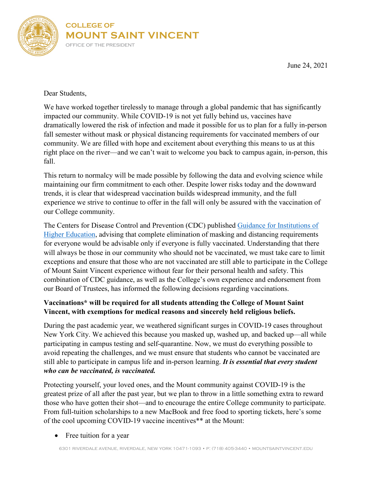

June 24, 2021

Dear Students,

We have worked together tirelessly to manage through a global pandemic that has significantly impacted our community. While COVID-19 is not yet fully behind us, vaccines have dramatically lowered the risk of infection and made it possible for us to plan for a fully in-person fall semester without mask or physical distancing requirements for vaccinated members of our community. We are filled with hope and excitement about everything this means to us at this right place on the river—and we can't wait to welcome you back to campus again, in-person, this fall.

This return to normalcy will be made possible by following the data and evolving science while maintaining our firm commitment to each other. Despite lower risks today and the downward trends, it is clear that widespread vaccination builds widespread immunity, and the full experience we strive to continue to offer in the fall will only be assured with the vaccination of our College community.

The Centers for Disease Control and Prevention (CDC) published [Guidance for Institutions of](https://www.cdc.gov/coronavirus/2019-ncov/community/colleges-universities/considerations.html?source=email)  [Higher Education,](https://www.cdc.gov/coronavirus/2019-ncov/community/colleges-universities/considerations.html?source=email) advising that complete elimination of masking and distancing requirements for everyone would be advisable only if everyone is fully vaccinated. Understanding that there will always be those in our community who should not be vaccinated, we must take care to limit exceptions and ensure that those who are not vaccinated are still able to participate in the College of Mount Saint Vincent experience without fear for their personal health and safety. This combination of CDC guidance, as well as the College's own experience and endorsement from our Board of Trustees, has informed the following decisions regarding vaccinations.

## **Vaccinations\* will be required for all students attending the College of Mount Saint Vincent, with exemptions for medical reasons and sincerely held religious beliefs.**

During the past academic year, we weathered significant surges in COVID-19 cases throughout New York City. We achieved this because you masked up, washed up, and backed up—all while participating in campus testing and self-quarantine. Now, we must do everything possible to avoid repeating the challenges, and we must ensure that students who cannot be vaccinated are still able to participate in campus life and in-person learning. *It is essential that every student who can be vaccinated, is vaccinated.*

Protecting yourself, your loved ones, and the Mount community against COVID-19 is the greatest prize of all after the past year, but we plan to throw in a little something extra to reward those who have gotten their shot—and to encourage the entire College community to participate. From full-tuition scholarships to a new MacBook and free food to sporting tickets, here's some of the cool upcoming COVID-19 vaccine incentives\*\* at the Mount:

• Free tuition for a year